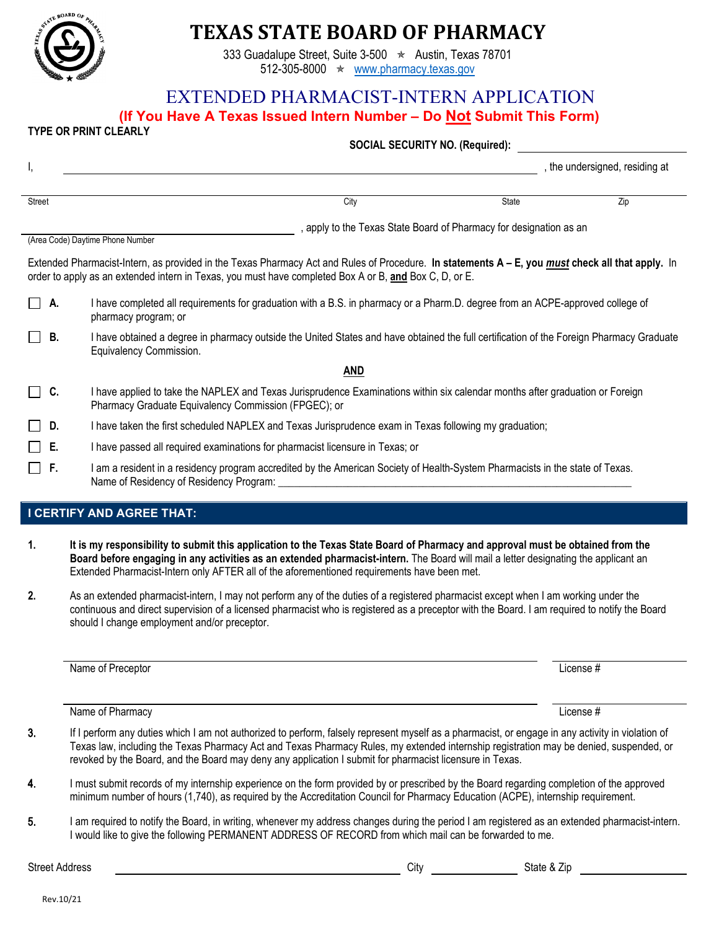

# **TEXAS STATE BOARD OF PHARMACY**

333 Guadalupe Street, Suite 3-500  $\star$  Austin, Texas 78701 512-305-8000 ★ [www.pharmacy.texas.gov](http://www.pharmacy.texas.gov/)

## EXTENDED PHARMACIST-INTERN APPLICATION

**(If You Have A Texas Issued Intern Number – Do Not Submit This Form) TYPE OR PRINT CLEARLY** 

|                                                                                                                                                                                                                                                            |    | <b>SOCIAL SECURITY NO. (Required):</b>                                                                                                                                                |  |  |  |  |  |
|------------------------------------------------------------------------------------------------------------------------------------------------------------------------------------------------------------------------------------------------------------|----|---------------------------------------------------------------------------------------------------------------------------------------------------------------------------------------|--|--|--|--|--|
| I,                                                                                                                                                                                                                                                         |    | , the undersigned, residing at                                                                                                                                                        |  |  |  |  |  |
| <b>Street</b>                                                                                                                                                                                                                                              |    | City<br>Zip<br><b>State</b>                                                                                                                                                           |  |  |  |  |  |
|                                                                                                                                                                                                                                                            |    | , apply to the Texas State Board of Pharmacy for designation as an<br>(Area Code) Daytime Phone Number                                                                                |  |  |  |  |  |
| Extended Pharmacist-Intern, as provided in the Texas Pharmacy Act and Rules of Procedure. In statements A – E, you must check all that apply. In<br>order to apply as an extended intern in Texas, you must have completed Box A or B, and Box C, D, or E. |    |                                                                                                                                                                                       |  |  |  |  |  |
| IIA.                                                                                                                                                                                                                                                       |    | I have completed all requirements for graduation with a B.S. in pharmacy or a Pharm.D. degree from an ACPE-approved college of<br>pharmacy program; or                                |  |  |  |  |  |
| IIB.                                                                                                                                                                                                                                                       |    | I have obtained a degree in pharmacy outside the United States and have obtained the full certification of the Foreign Pharmacy Graduate<br>Equivalency Commission.                   |  |  |  |  |  |
|                                                                                                                                                                                                                                                            |    | <b>AND</b>                                                                                                                                                                            |  |  |  |  |  |
| $\Box$ C.                                                                                                                                                                                                                                                  |    | I have applied to take the NAPLEX and Texas Jurisprudence Examinations within six calendar months after graduation or Foreign<br>Pharmacy Graduate Equivalency Commission (FPGEC); or |  |  |  |  |  |
|                                                                                                                                                                                                                                                            | D. | I have taken the first scheduled NAPLEX and Texas Jurisprudence exam in Texas following my graduation;                                                                                |  |  |  |  |  |
|                                                                                                                                                                                                                                                            | E. | I have passed all required examinations for pharmacist licensure in Texas; or                                                                                                         |  |  |  |  |  |
| □ F.                                                                                                                                                                                                                                                       |    | I am a resident in a residency program accredited by the American Society of Health-System Pharmacists in the state of Texas.<br>Name of Residency of Residency Program:              |  |  |  |  |  |

#### **I CERTIFY AND AGREE THAT:**

- **1. It is my responsibility to submit this application to the Texas State Board of Pharmacy and approval must be obtained from the Board before engaging in any activities as an extended pharmacist-intern.** The Board will mail a letter designating the applicant an Extended Pharmacist-Intern only AFTER all of the aforementioned requirements have been met.
- **2.** As an extended pharmacist-intern, I may not perform any of the duties of a registered pharmacist except when I am working under the continuous and direct supervision of a licensed pharmacist who is registered as a preceptor with the Board. I am required to notify the Board should I change employment and/or preceptor.

Name of Preceptor **License #** License **#** 

Name of Pharmacy License #

- 3. If I perform any duties which I am not authorized to perform, falsely represent myself as a pharmacist, or engage in any activity in violation of Texas law, including the Texas Pharmacy Act and Texas Pharmacy Rules, my extended internship registration may be denied, suspended, or revoked by the Board, and the Board may deny any application I submit for pharmacist licensure in Texas.
- 4. I must submit records of my internship experience on the form provided by or prescribed by the Board regarding completion of the approved minimum number of hours (1,740), as required by the Accreditation Council for Pharmacy Education (ACPE), internship requirement.
- 5. I am required to notify the Board, in writing, whenever my address changes during the period I am registered as an extended pharmacist-intern. I would like to give the following PERMANENT ADDRESS OF RECORD from which mail can be forwarded to me.

Street Address Street Address Street Address Street Address State & Zip